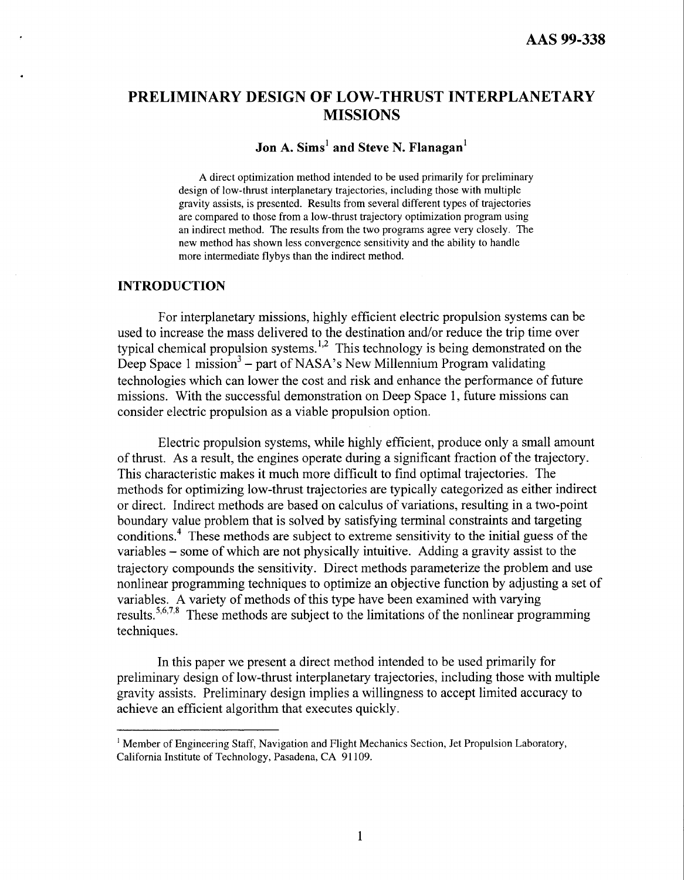#### <span id="page-0-0"></span>**PRELIMINARY DESIGN OF LOW-THRUST INTERPLANETARY MISSIONS**

#### **Jon A. Sims' and Steve N. Flanagan'**

A direct optimization method intended to be used primarily for preliminary design of low-thrust interplanetary trajectories, including those with multiple gravity assists, is presented. Results from several different types of trajectories are compared to those from a low-thrust trajectory optimization program using an indirect method. The results from the two programs agree very closely. The new method has shown less convergence sensitivity and the ability to handle more intermediate flybys than the indirect method.

#### **INTRODUCTION**

For interplanetary missions, highly efficient electric propulsion systems can be used to increase the mass delivered to the destination and/or reduce the trip time over typical chemical propulsion systems. **1,2** This technology is being demonstrated on the Deep Space 1 mission<sup>3</sup> – part of NASA's New Millennium Program validating technologies which can lower the cost and risk and enhance the performance of future missions. With the successful demonstration on Deep Space **1,** future missions can consider electric propulsion as a viable propulsion option.

Electric propulsion systems, while highly efficient, produce only a small amount of thrust. As a result, the engines operate during a significant fraction of the trajectory. This characteristic makes it much more difficult to find optimal trajectories. The methods for optimizing low-thrust trajectories are typically categorized as either indirect or direct. Indirect methods are based on calculus of variations, resulting in a two-point boundary value problem that is solved by satisfying terminal constraints and targeting conditions.<sup>4</sup> These methods are subject to extreme sensitivity to the initial guess of the variables - some of which are not physically intuitive. Adding a gravity assist to the trajectory compounds the sensitivity. Direct methods parameterize the problem and use nonlinear programming techniques to optimize an objective function by adjusting a set of variables. A variety of methods of this type have been examined with varying results.<sup>5,6,7,8</sup> These methods are subject to the limitations of the nonlinear programming techniques.

In this paper we present a direct method intended to be used primarily for preliminary design of low-thrust interplanetary trajectories, including those with multiple gravity assists. Preliminary design implies a willingness to accept limited accuracy to achieve an efficient algorithm that executes quickly.

<sup>&</sup>lt;sup>1</sup> Member of Engineering Staff, Navigation and Flight Mechanics Section, Jet Propulsion Laboratory, California Institute of Technology, Pasadena, CA 91 109.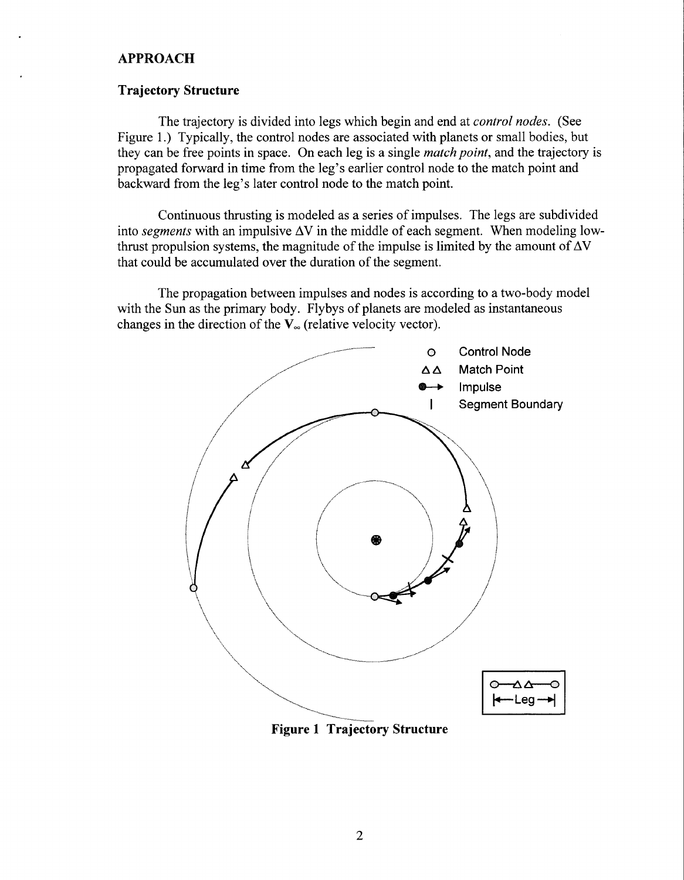#### <span id="page-1-0"></span>**APPROACH**

#### **Trajectory Structure**

The trajectory is divided into legs which begin and end at *control nodes.* (See Figure 1.) Typically, the control nodes are associated with planets or small bodies, but they can be free points in space. On each leg is a single *match point,* and the trajectory is propagated forward in time from the leg's earlier control node to the match point and backward from the leg's later control node to the match point.

Continuous thrusting is modeled as a series of impulses. The legs are subdivided into *segments* with an impulsive  $\Delta V$  in the middle of each segment. When modeling lowthrust propulsion systems, the magnitude of the impulse is limited by the amount of  $\Delta V$ that could be accumulated over the duration of the segment.

The propagation between impulses and nodes is according to a two-body model with the Sun as the primary body. Flybys of planets are modeled as instantaneous changes in the direction of the  $V_{\infty}$  (relative velocity vector).



**Figure 1 Trajectory Structure**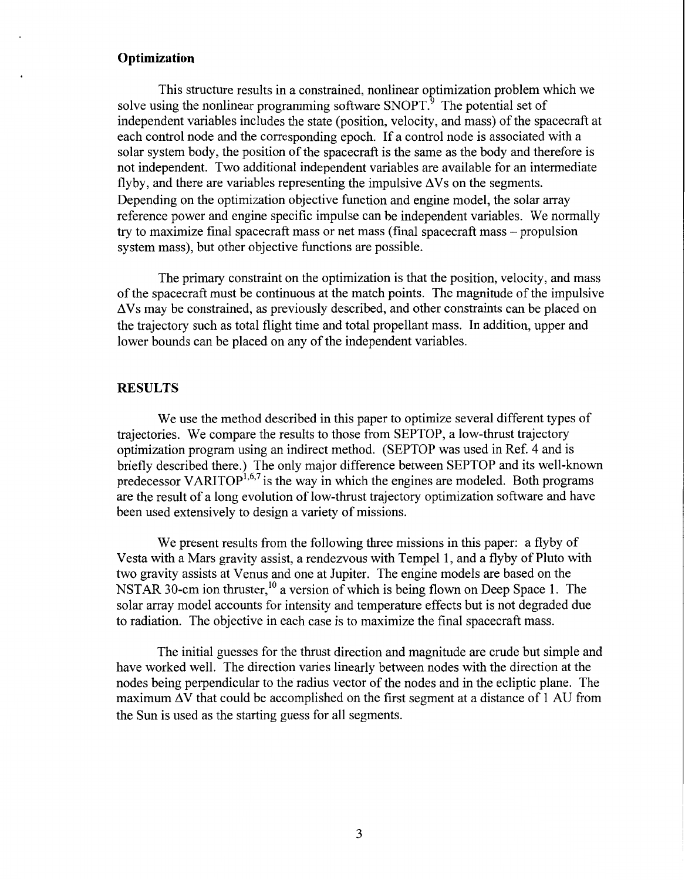#### <span id="page-2-0"></span>**Optimization**

This structure results in a constrained, nonlinear optimization problem which we solve using the nonlinear programming software  $S\text{NOPT}^3$ . The potential set of independent variables includes the state (position, velocity, and mass) of the spacecraft at each control node and the corresponding epoch. If a control node is associated with a solar system body, the position of the spacecraft is the same as the body and therefore is not independent. Two additional independent variables are available for an intermediate flyby, and there are variables representing the impulsive  $\Delta V$ s on the segments. Depending on the optimization objective function and engine model, the solar array reference power and engine specific impulse can be independent variables. We normally try to maximize final spacecraft mass or net mass (final spacecraft mass – propulsion system mass), but other objective functions are possible.

The primary constraint on the optimization is that the position, velocity, and mass of the spacecraft must be continuous at the match points. The magnitude of the impulsive AVs may be constrained, as previously described, and other constraints can be placed on the trajectory such as total flight time and total propellant mass. In addition, upper and lower bounds can be placed on any of the independent variables.

#### **RESULTS**

We use the method described in this paper to optimize several different types of trajectories. We compare the results to those from SEPTOP, a low-thrust trajectory optimization program using an indirect method. (SEPTOP was used in Ref. 4 and is briefly described there.) The only major difference between SEPTOP and its well-known predecessor VARITOP<sup>1,6,7</sup> is the way in which the engines are modeled. Both programs are the result of a long evolution of low-thrust trajectory optimization software and have been used extensively to design a variety of missions.

We present results from the following three missions in this paper: a flyby of Vesta with a Mars gravity assist, a rendezvous with Tempe1 1, and a flyby of Pluto with two gravity assists at Venus and one at Jupiter. The engine models are based on the NSTAR 30-cm ion thruster,<sup>10</sup> a version of which is being flown on Deep Space 1. The solar array model accounts for intensity and temperature effects but is not degraded due to radiation. The objective in each case is to maximize the final Spacecraft mass.

The initial guesses for the thrust direction and magnitude are crude but simple and have worked well. The direction varies linearly between nodes with the direction at the nodes being perpendicular to the radius vector of the nodes and in the ecliptic plane. The maximum  $\Delta V$  that could be accomplished on the first segment at a distance of 1 AU from the Sun is used as the starting guess for all segments.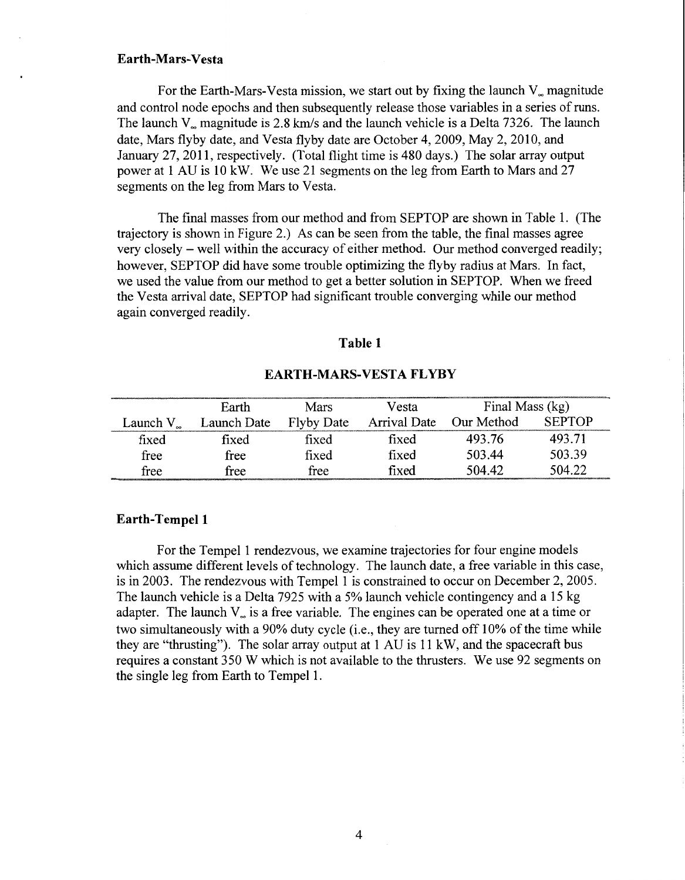#### **Earth-Mars-Vesta**

For the Earth-Mars-Vesta mission, we start out by fixing the launch  $V_{\infty}$  magnitude and control node epochs and then subsequently release those variables in a series of runs. The launch V<sub>rmagnitude</sub> is 2.8 km/s and the launch vehicle is a Delta 7326. The launch date, Mars flyby date, and Vesta flyby date are October 4,2009, May 2,2010, and January 27, 2011, respectively. (Total flight time is 480 days.) The solar array output power at 1 AU is 10 kW. We use 21 segments on the leg from Earth to Mars and 27 segments on the leg from Mars to Vesta.

The final masses from our method and from SEPTOP are shown in Table 1. (The trajectory is shown in Figure 2.) As can be seen from the table, the final masses agree very closely - well within the accuracy of either method. Our method converged readily; however, SEPTOP did have some trouble optimizing the flyby radius at Mars. In fact, we used the value from our method to get a better solution in SEPTOP. When we freed the Vesta arrival date, SEPTOP had significant trouble converging while our method again converged readily.

#### **Table 1**

#### **EARTH-MARS-VESTA FLYBY**

|                     | Earth       | Mars              | Vesta        | Final Mass (kg) |               |
|---------------------|-------------|-------------------|--------------|-----------------|---------------|
| Launch $V_{\infty}$ | Launch Date | <b>Flyby Date</b> | Arrival Date | Our Method      | <b>SEPTOP</b> |
| fixed               | fixed       | fixed             | fixed        | 493.76          | 493.71        |
| free                | free        | fixed             | fixed        | 503.44          | 503.39        |
| free                | free        | free              | fixed        | 504.42          | 504.22        |

#### **Earth-Tempe1 1**

For the Tempel 1 rendezvous, we examine trajectories for four engine models which assume different levels of technology. The launch date, a free variable in this case, is in 2003. The rendezvous with Tempel 1 is constrained to occw on December 2,2005. The launch vehicle is a Delta 7925 with a 5% launch vehicle contingency and a 15 kg adapter. The launch  $V_{\alpha}$  is a free variable. The engines can be operated one at a time or two simultaneously with a 90% duty cycle (i.e., they are turned off 10% of the time while they are "thrusting"). The solar array output at 1 AU is 11 kW, and the spacecraft bus requires a constant 350 W which is not available to the thrusters. We use 92 segments on the single leg from Earth to Tempel 1.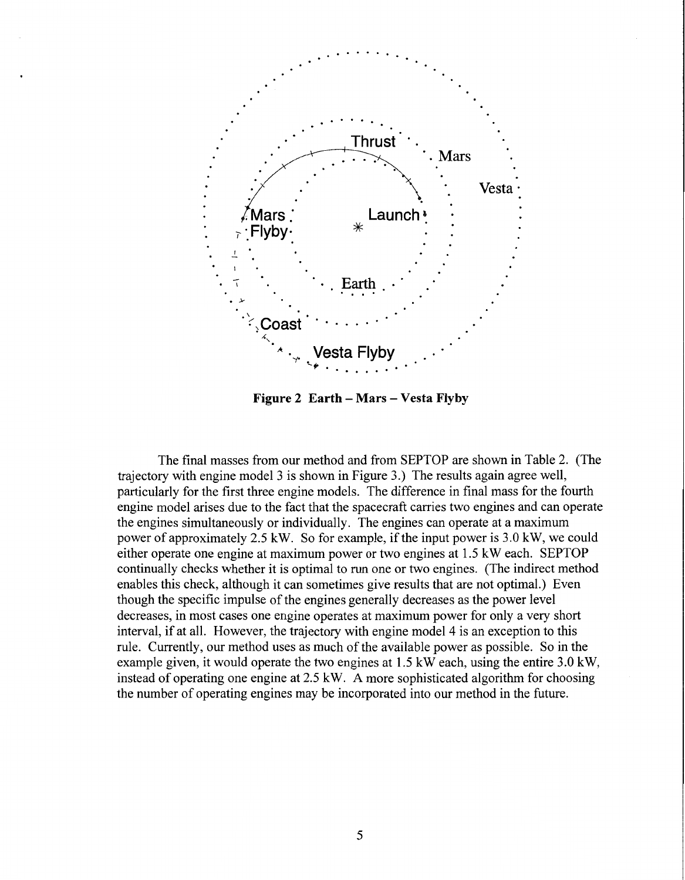<span id="page-4-0"></span>

**Figure 2 Earth – Mars – Vesta Flyby** 

The final masses from our method and from SEPTOP are shown in [Table 2.](#page-5-0) (The trajectory with engine model 3 is shown in Figure 3.) The results again agree well, particularly for the first three engine models. The difference in final mass for the fourth engine model arises due to the fact that the spacecraft carries two engines and can operate the engines simultaneously or individually. The engines can operate at a maximum power of approximately 2.5 kW. So for example, if the input power is 3.0 kW, we could either operate one engine at maximum power or two engines at 1.5 kW each. SEPTOP continually checks whether it is optimal to run one or two engines. (The indirect method enables this check, although it can sometimes give results that are not optimal.) Even though the specific impulse of the engines generally decreases as the power level decreases, in most cases one engine operates at maximum power for only a very short interval, if at all. However, the trajectory with engine model 4 is an exception to this rule. Currently, our method uses as much of the available power as possible. So in the example given, it would operate the two engines at 1.5 kW each, using the entire 3.0 kW, instead of operating one engine at 2.5 kW. **A** more sophisticated algorithm for choosing the number of operating engines may be incorporated into our method in the future.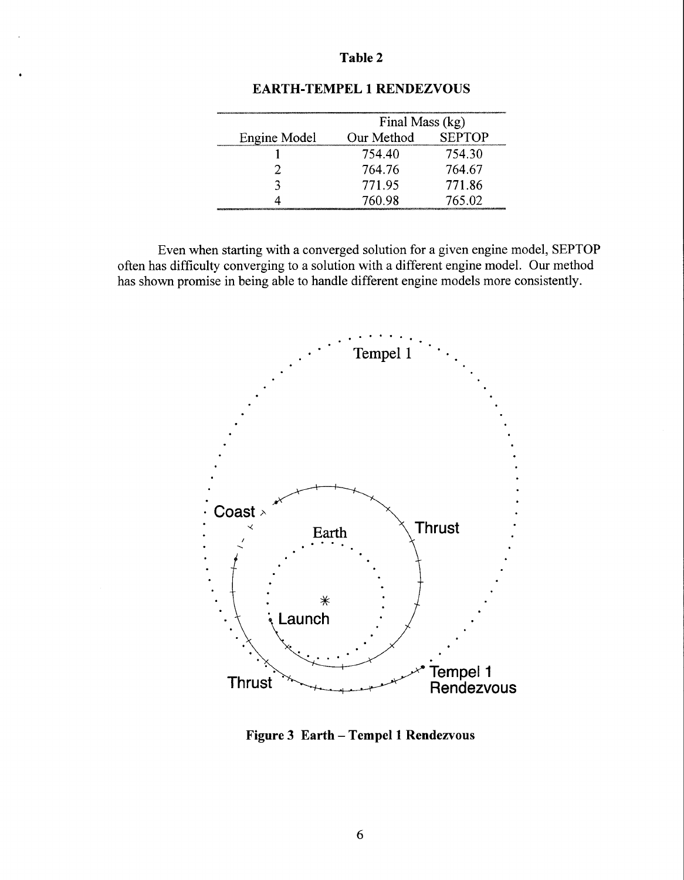<span id="page-5-0"></span>

|              | Final Mass (kg) |               |  |
|--------------|-----------------|---------------|--|
| Engine Model | Our Method      | <b>SEPTOP</b> |  |
|              | 754.40          | 754.30        |  |
|              | 764.76          | 764.67        |  |
|              | 771.95          | 771.86        |  |
|              | 760.98          | 765.02        |  |

#### **EARTH-TEMPEL 1 RENDEZVOUS**

Even when starting with a converged solution for a given engine model, SEPTOP often has difficulty converging to a solution with a different engine model. Our method has shown promise in being able to handle different engine models more consistently.



**Figure 3 Earth** - **Tempel 1 Rendezvous**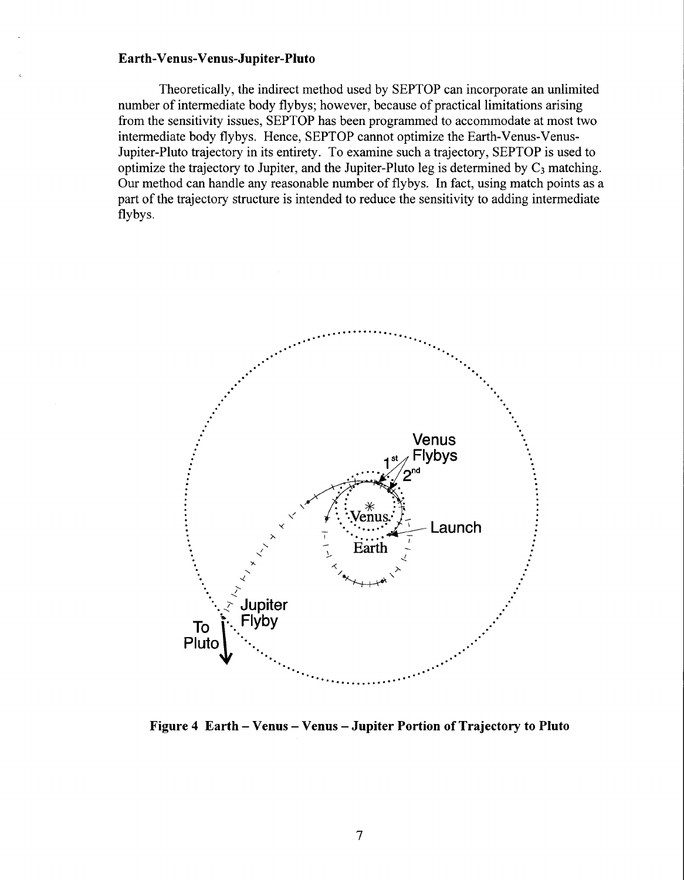#### <span id="page-6-0"></span>**Earth-Venus-Venus-Jupiter-Pluto**

Theoretically, the indirect method used by SEPTOP can incorporate an unlimited number of intermediate body flybys; however, because of practical limitations arising from the sensitivity issues, SEPTOP has been programmed to accommodate at most two intermediate body flybys. Hence, SEPTOP cannot optimize the Earth-Venus-Venus-Jupiter-Pluto trajectory in its entirety. To examine such a trajectory, SEPTOP is used to optimize the trajectory to Jupiter, and the Jupiter-Pluto leg is determined by  $C_3$  matching. Our method can handle any reasonable number of flybys. In fact, using match points as a part of the trajectory structure is intended to reduce the sensitivity to adding intermediate flybys.



**Figure 4 Earth** - **Venus** - **Venus -Jupiter Portion of Trajectory to Pluto**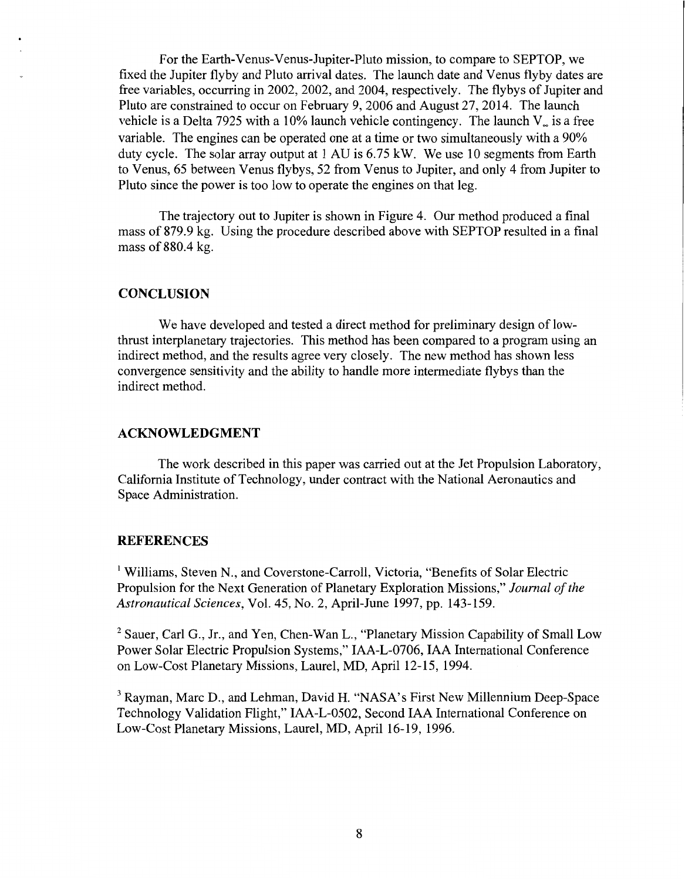<span id="page-7-0"></span>For the Earth-Venus-Venus-Jupiter-Pluto mission, to compare to SEPTOP, we fixed the Jupiter flyby and Pluto arrival dates. The launch date and Venus flyby dates are free variables, occurring in 2002, 2002, and 2004, respectively. The flybys of Jupiter and Pluto are constrained to occur on February 9,2006 and August 27,2014. The launch vehicle is a Delta 7925 with a 10% launch vehicle contingency. The launch  $V_{\alpha}$  is a free variable. The engines can be operated one at a time or two simultaneously with a 90% duty cycle. The solar array output at 1 AU is 6.75 kW. We use 10 segments from Earth to Venus, 65 between Venus flybys, 52 from Venus to Jupiter, and only 4 from Jupiter to Pluto since the power is too low to operate the engines on that leg.

The trajectory out to Jupiter is shown in [Figure 4.](#page-6-0) Our method produced a final mass of 879.9 kg. Using the procedure described above with SEPTOP resulted in a final mass of 880.4 kg.

#### **CONCLUSION**

We have developed and tested a direct method for preliminary design of lowthrust interplanetary trajectories. This method has been compared to a program using an indirect method, and the results agree very closely. The new method has shown less convergence sensitivity and the ability to handle more intermediate flybys than the indirect method.

#### **ACKNOWLEDGMENT**

The work described in this paper was carried out at the Jet Propulsion Laboratory, California Institute of Technology, under contract with the National Aeronautics and Space Administration.

#### **REFERENCES**

<sup>1</sup> Williams, Steven N., and Coverstone-Carroll, Victoria, "Benefits of Solar Electric Propulsion for the Next Generation of Planetary Exploration Missions," *Journal of the Astronautical Sciences,* Vol. 45, No. 2, April-June 1997, pp. 143-159.

<sup>2</sup> Sauer, Carl G., Jr., and Yen, Chen-Wan L., "Planetary Mission Capability of Small Low Power Solar Electric Propulsion Systems," IAA-L-0706, IAA International Conference on Low-Cost Planetary Missions, Laurel, MD, April 12-15, 1994.

<sup>3</sup> Rayman, Marc D., and Lehman, David H. "NASA's First New Millennium Deep-Space Technology Validation Flight," IAA-L-0502, Second IAA International Conference on Low-Cost Planetary Missions, Laurel, MD, April 16-19, 1996.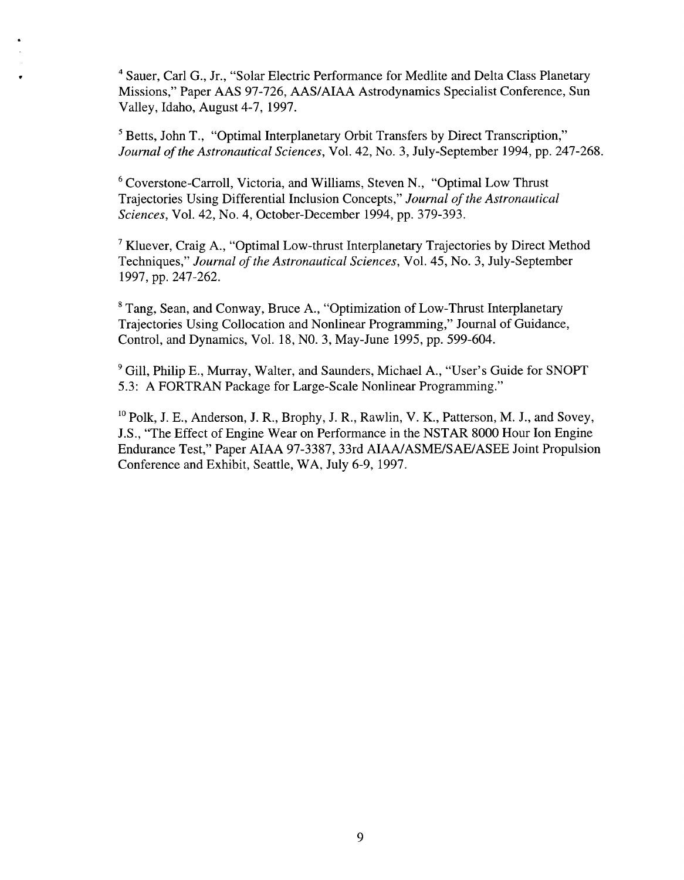<span id="page-8-0"></span>**<sup>4</sup>**Sauer, Carl G., Jr., "Solar Electric Performance for Medlite and Delta Class Planetary Missions,'' Paper AAS 97-726, AAS/AIAA Astrodynamics Specialist Conference, Sun Valley, Idaho, August 4-7, 1997.

<sup>5</sup> Betts, John T., "Optimal Interplanetary Orbit Transfers by Direct Transcription," *Journal of the Astronautical Sciences,* Vol. 42, No. 3, July-September 1994, pp. 247-268.

Coverstone-Carroll, Victoria, and Williams, Steven N., "Optimal Low Thrust Trajectories Using Differential Inclusion Concepts," *Journal of the Astronautical Sciences,* Vol. 42, No. 4, October-December 1994, pp. 379-393.

**<sup>7</sup>**Kluever, Craig A., "Optimal Low-thrust Interplanetary Trajectories by Direct Method Techniques,'' *Journal of the Astronautical Sciences,* Vol. 45, No. 3, July-September 1997, pp. 247-262.

Tang, Sean, and Conway, Bruce A., "Optimization of Low-Thrust Interplanetary Trajectories Using Collocation and Nonlinear Programming," Journal of Guidance, Control, and Dynamics, Vol. 18, NO. 3, May-June 1995, pp. 599-604.

9 Gill, Philip E., Murray, Walter, and Saunders, Michael A., "User's Guide for SNOPT 5.3: A FORTRAN Package for Large-Scale Nonlinear Programming."

<sup>10</sup> Polk, J. E., Anderson, J. R., Brophy, J. R., Rawlin, V. K., Patterson, M. J., and Sovey, J.S., "The Effect of Engine Wear on Performance in the NSTAR 8000 Hour Ion Engine Endurance Test," Paper AIAA 97-3387,33rd AIAA/ASME/SAE/ASEE Joint Propulsion Conference and Exhibit, Seattle, WA, July 6-9, 1997.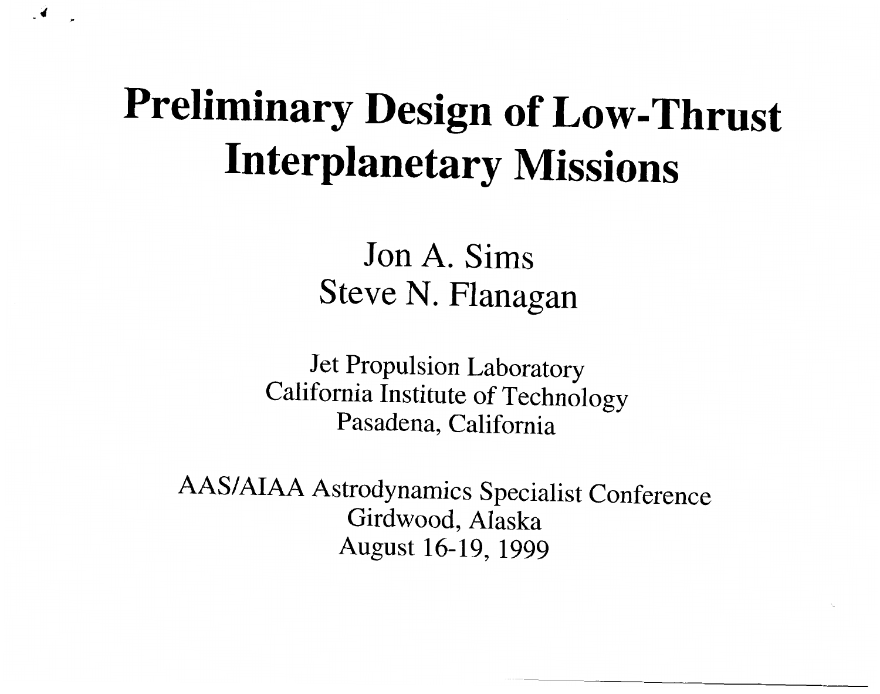### **Preliminary Design of Low-Thrust Interplanetary Missions**

Jon A. Sims Steve N. Flanagan

Jet Propulsion Laboratory California Institute of Technology Pasadena, California

AAS/AIAA Astrodynamics Specialist Conference Girdwood, Alaska August 16-19, 1999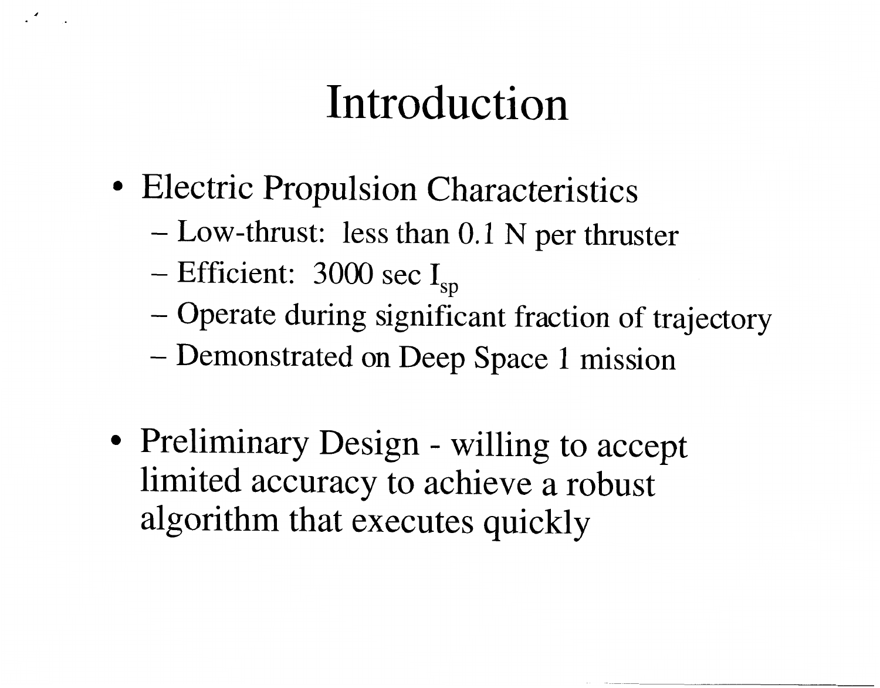## Introduction

- Electric Propulsion Characteristics
	- $-$  Low-thrust: less than 0.1 N per thruster
	- Efficient: 3000 sec  $I_{sp}$
	- Operate during significant fraction of trajectory
	- Demonstrated on Deep Space 1 mission
- Preliminary Design willing to accept limited accuracy to achieve a robust algorithm that executes quickly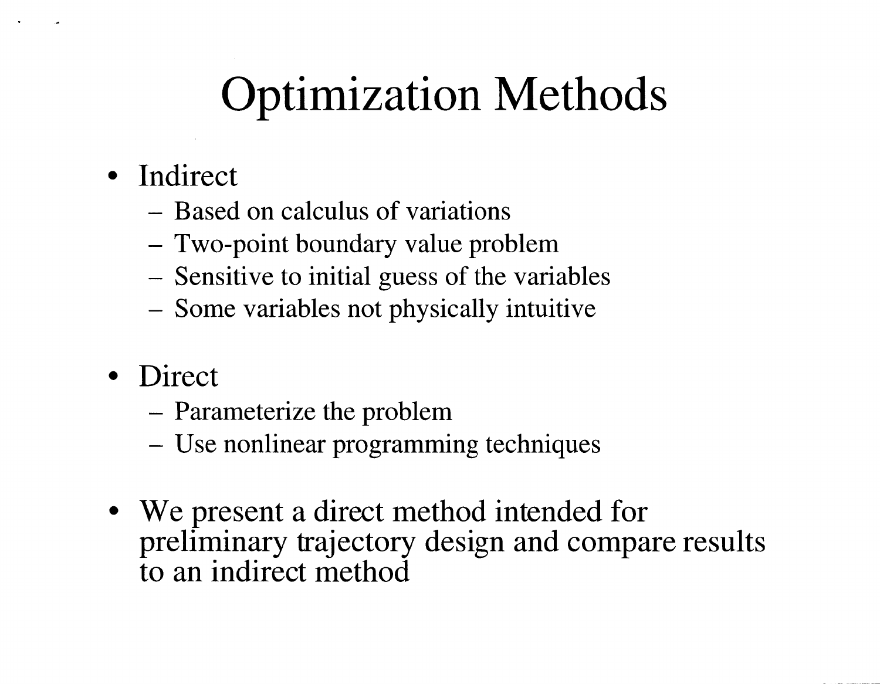# **Optimization Methods**

- · Indirect
	- Based on calculus of variations
	- Two-point boundary value problem
	- Sensitive to initial guess of the variables
	- Some variables not physically intuitive
- Direct
	- Parameterize the problem
	- Use nonlinear programming techniques
- We present a direct method intended for preliminary trajectory design and compare results to an indirect method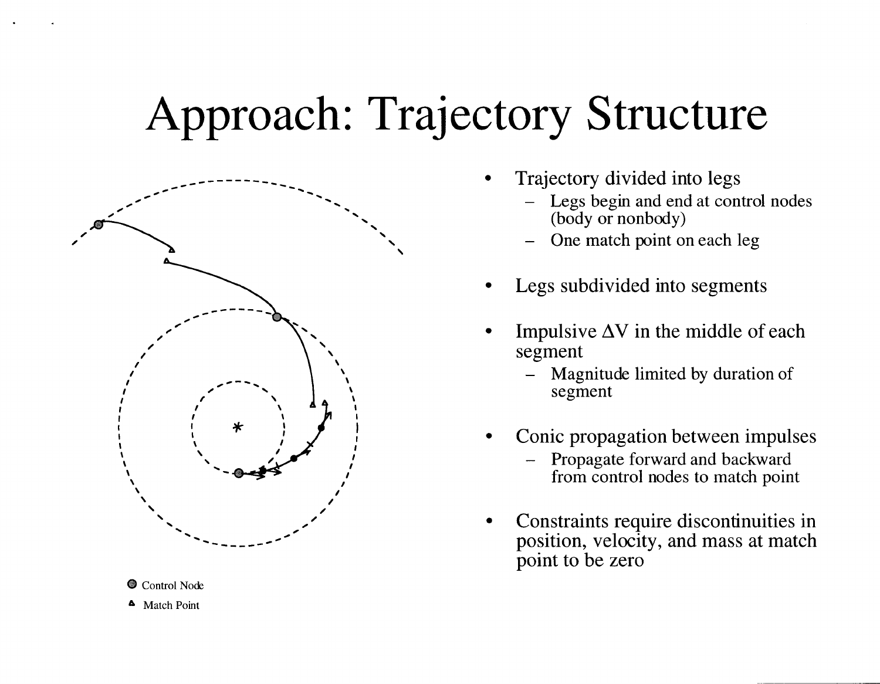# **Approach: Trajectory Structure**



Control Node <sup>4</sup> Match Point

- Trajectory divided into legs
	- Legs begin and end at control nodes (body or nonbody)
	- One match point on each leg
- Legs subdivided into segments
- Impulsive  $\Delta V$  in the middle of each segment
	- Magnitude limited by duration of segment
- Conic propagation between impulses
	- Propagate forward and backward from control nodes to match point
- Constraints require discontinuities in position, velocity, and mass at match point to be zero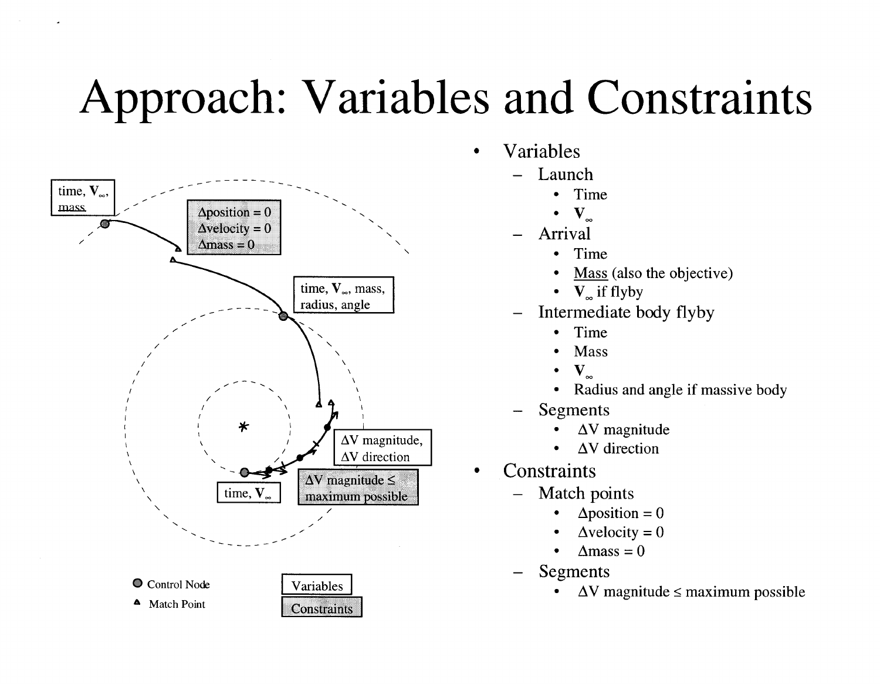## <span id="page-13-0"></span>**Approach: Variables and Constraints**



- Variables  $\bullet$ 
	- Launch
		- Time
			- $\mathbf{V}_{\infty}$
		- Arrival
			- Time  $\bullet$
			- Mass (also the objective)  $\bullet$
			- $V_{\infty}$  if flyby
	- Intermediate body flyby
		- Time
		- Mass
		- $\mathbf{V}_{\infty}$
		- Radius and angle if massive body  $\bullet$
	- Segments
		- $\Delta V$  magnitude
		- $\Delta V$  direction
- Constraints
	- Match points
		- $\Delta$ position = 0
		- $\Delta$ velocity = 0
		- $\Lambda$ mass = 0  $\bullet$
	- Segments
		- $\Delta V$  magnitude  $\leq$  maximum possible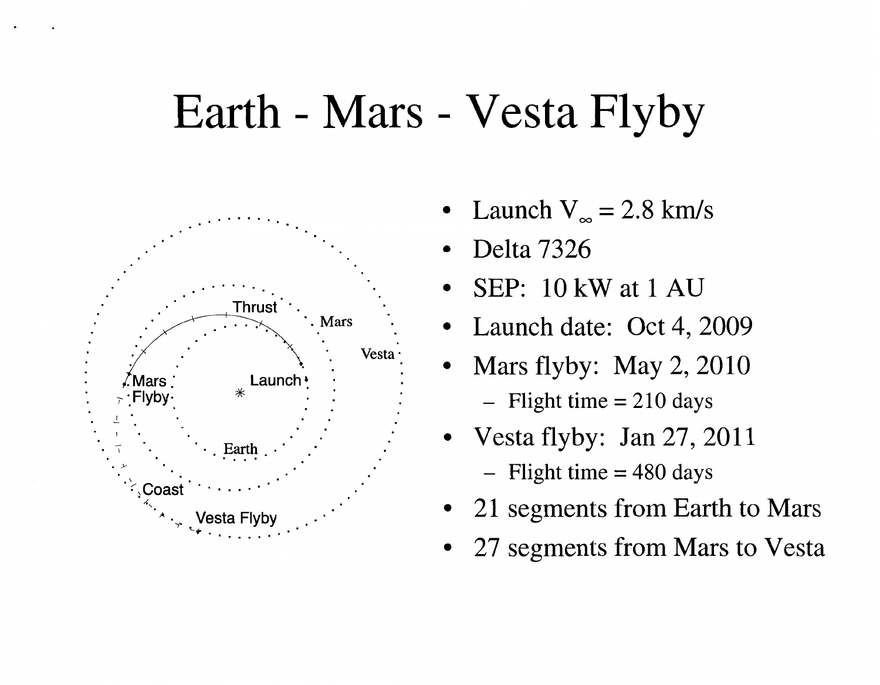### Earth - Mars - Vesta Flyby



- Launch  $V_{\infty} = 2.8$  km/s
- Delta 7326
- SEP: 10 kW at 1 AU
- Launch date: Oct 4, 2009
- Mars flyby: May  $2, 2010$  $-$  Flight time = 210 days
- Vesta flyby: Jan 27, 2011
	- $-$  Flight time = 480 days
- 21 segments from Earth to Mars
- 27 segments from Mars to Vesta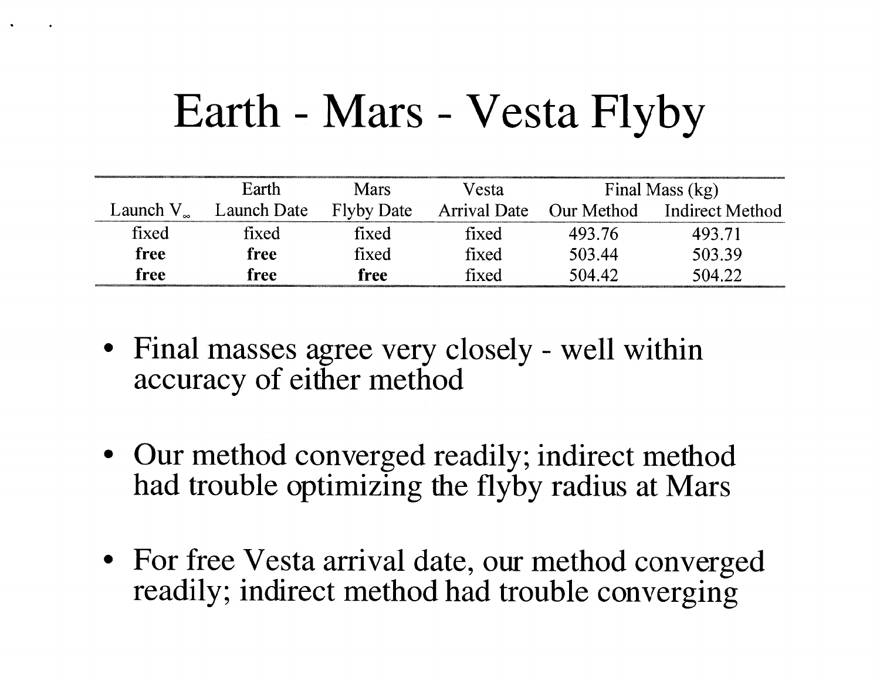## Earth - Mars - Vesta Flyby

|                   | Earth       | <b>Mars</b>       | Vesta        |            | Final Mass (kg) |
|-------------------|-------------|-------------------|--------------|------------|-----------------|
| Launch $V_{\sim}$ | Launch Date | <b>Flyby Date</b> | Arrival Date | Our Method | Indirect Method |
| fixed             | fixed       | fixed             | fixed        | 493.76     | 493.71          |
| free              | free        | fixed             | fixed        | 503.44     | 503.39          |
| free              | free        | free              | fixed        | 504.42     | 504.22          |

- Final masses agree very closely well within accuracy of either method
- Our method converged readily; indirect method had trouble optimizing the flyby radius at Mars
- For free Vesta arrival date, our method converged readily; indirect method had trouble converging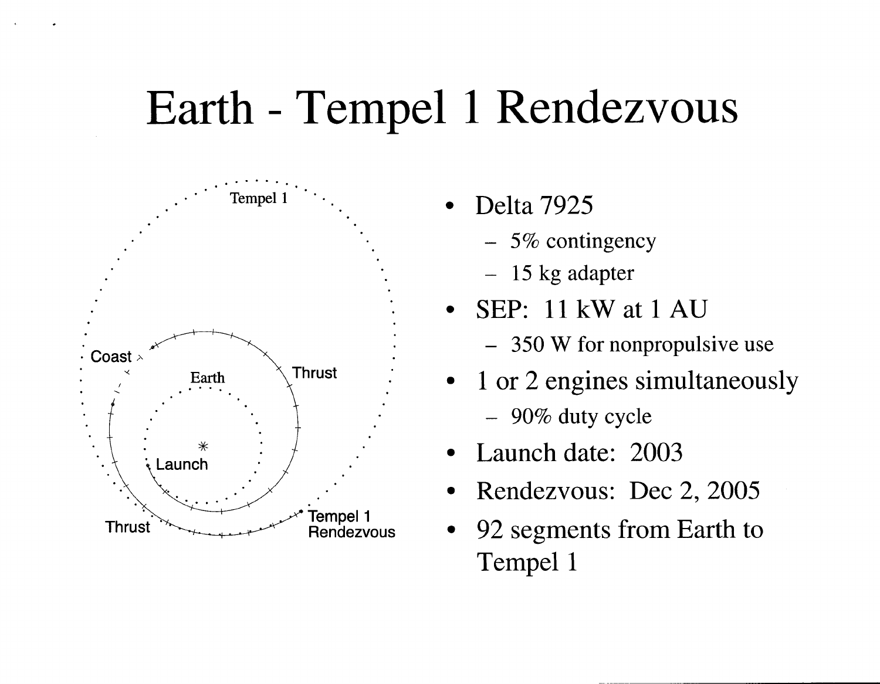## Earth - Tempel 1 Rendezvous



- Delta 7925
	- $-5\%$  contingency
	- $-15$  kg adapter
- SEP: 11 kW at 1 AU
	- 350 W for nonpropulsive use
- 1 or 2 engines simultaneously
	- $-90\%$  duty cycle
- Launch date: 2003
- Rendezvous: Dec 2, 2005
- 92 segments from Earth to Tempel 1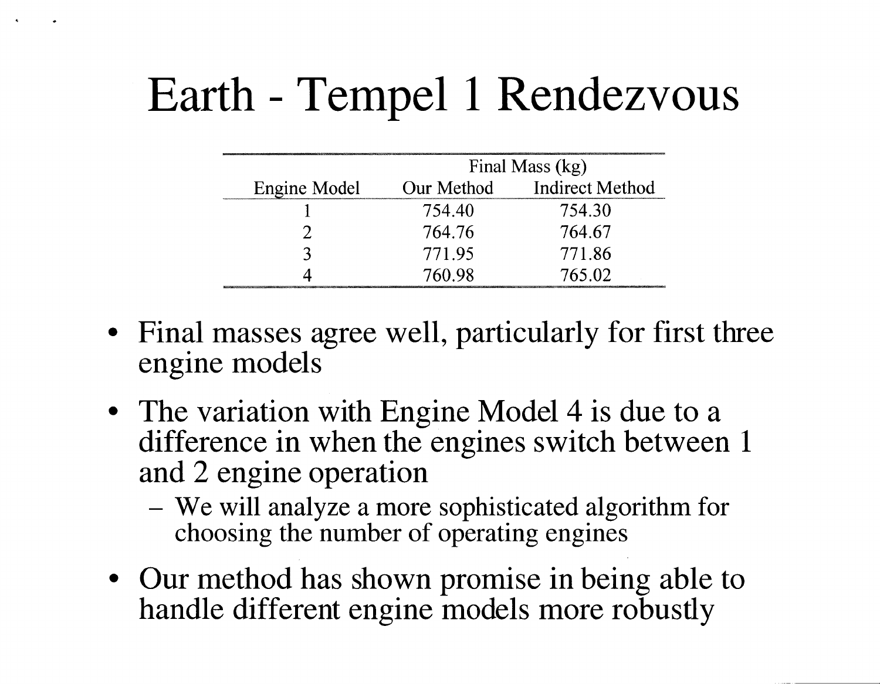# Earth - Tempel 1 Rendezvous

|              | Final Mass (kg) |                 |  |
|--------------|-----------------|-----------------|--|
| Engine Model | Our Method      | Indirect Method |  |
|              | 754.40          | 754.30          |  |
|              | 764.76          | 764.67          |  |
|              | 771.95          | 771.86          |  |
|              | 760.98          | 765.02          |  |

- Final masses agree well, particularly for first three engine models
- The variation with Engine Model 4 is due to a difference in when the engines switch between 1 and 2 engine operation
	- We will analyze a more sophisticated algorithm for choosing the number of operating engines
- Our method has shown promise in being able to handle different engine models more robustly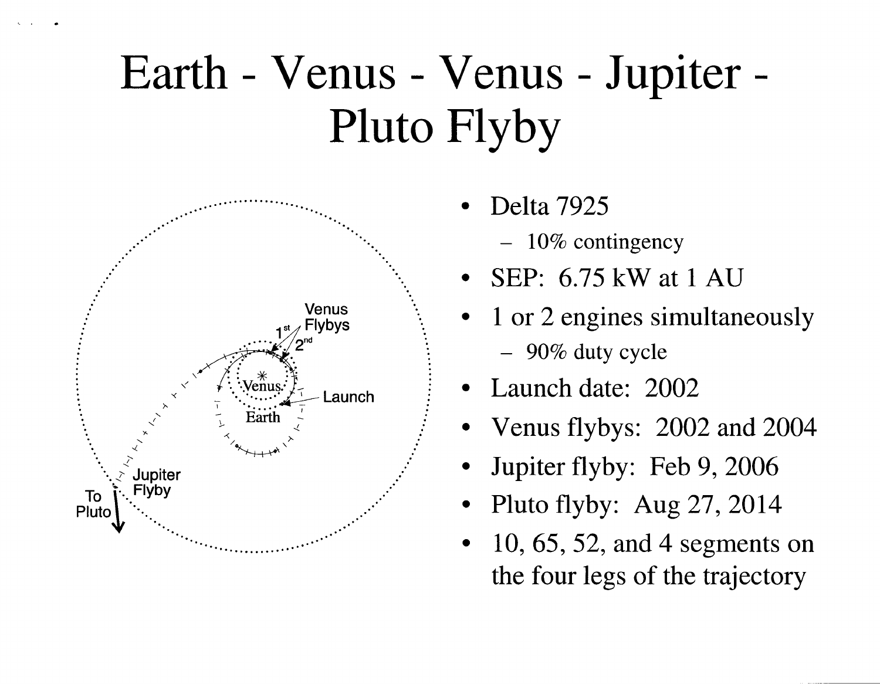# Earth - Venus - Venus - Jupiter -**Pluto Flyby**



- Delta 7925
	- $-10\%$  contingency
- SEP:  $6.75$  kW at 1 AU
- 1 or 2 engines simultaneously - 90% duty cycle
- Launch date: 2002
- Venus flybys: 2002 and 2004
- Jupiter flyby: Feb 9, 2006
- Pluto flyby: Aug  $27, 2014$
- 10, 65, 52, and 4 segments on the four legs of the trajectory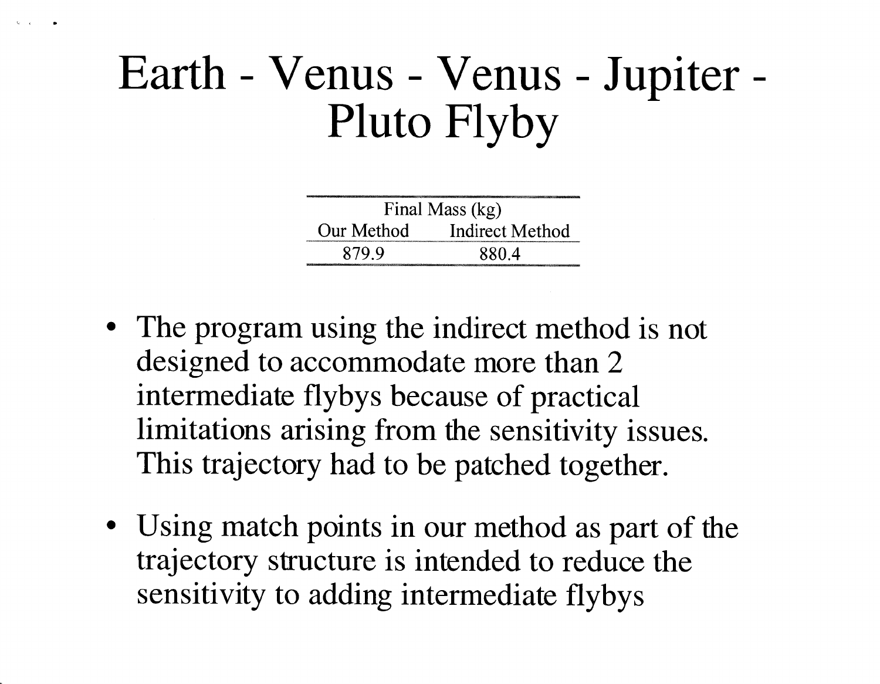### Earth - Venus - Venus - Jupiter -Pluto Flyby

| Final Mass (kg) |                 |  |
|-----------------|-----------------|--|
| Our Method      | Indirect Method |  |
| 879.9           | 880.4           |  |

- The program using the indirect method is not designed to accommodate more than 2 intermediate flybys because of practical limitations arising from the sensitivity issues. This trajectory had to be patched together.
- Using match points in our method as part of the trajectory structure is intended to reduce the sensitivity to adding intermediate flybys